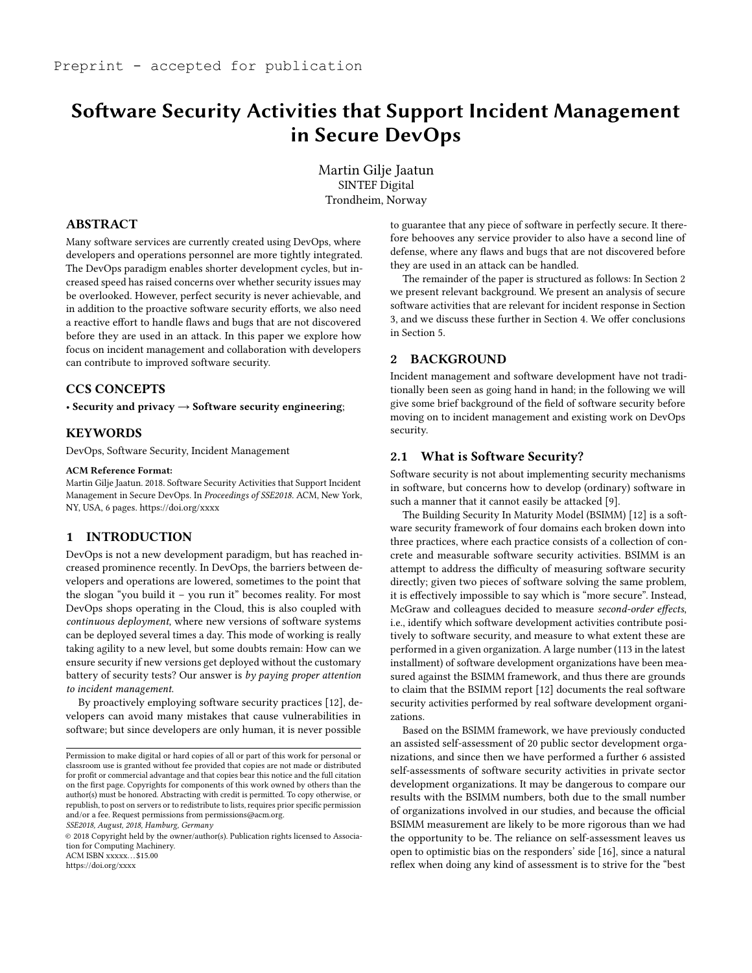# Software Security Activities that Support Incident Management in Secure DevOps

Martin Gilje Jaatun SINTEF Digital Trondheim, Norway

#### ABSTRACT

Many software services are currently created using DevOps, where developers and operations personnel are more tightly integrated. The DevOps paradigm enables shorter development cycles, but increased speed has raised concerns over whether security issues may be overlooked. However, perfect security is never achievable, and in addition to the proactive software security efforts, we also need a reactive effort to handle flaws and bugs that are not discovered before they are used in an attack. In this paper we explore how focus on incident management and collaboration with developers can contribute to improved software security.

#### CCS CONCEPTS

• Security and privacy → Software security engineering;

#### KEYWORDS

DevOps, Software Security, Incident Management

#### ACM Reference Format:

Martin Gilje Jaatun. 2018. Software Security Activities that Support Incident Management in Secure DevOps. In Proceedings of SSE2018. ACM, New York, NY, USA, [6](#page-5-0) pages.<https://doi.org/xxxx>

#### 1 INTRODUCTION

DevOps is not a new development paradigm, but has reached increased prominence recently. In DevOps, the barriers between developers and operations are lowered, sometimes to the point that the slogan "you build it – you run it" becomes reality. For most DevOps shops operating in the Cloud, this is also coupled with continuous deployment, where new versions of software systems can be deployed several times a day. This mode of working is really taking agility to a new level, but some doubts remain: How can we ensure security if new versions get deployed without the customary battery of security tests? Our answer is by paying proper attention to incident management.

By proactively employing software security practices [\[12\]](#page-5-1), developers can avoid many mistakes that cause vulnerabilities in software; but since developers are only human, it is never possible

SSE2018, August, 2018, Hamburg, Germany

© 2018 Copyright held by the owner/author(s). Publication rights licensed to Association for Computing Machinery.

ACM ISBN xxxxx. . . \$15.00

<https://doi.org/xxxx>

to guarantee that any piece of software in perfectly secure. It therefore behooves any service provider to also have a second line of defense, where any flaws and bugs that are not discovered before they are used in an attack can be handled.

The remainder of the paper is structured as follows: In Section [2](#page-0-0) we present relevant background. We present an analysis of secure software activities that are relevant for incident response in Section [3,](#page-2-0) and we discuss these further in Section [4.](#page-3-0) We offer conclusions in Section [5.](#page-4-0)

#### <span id="page-0-0"></span>2 BACKGROUND

Incident management and software development have not traditionally been seen as going hand in hand; in the following we will give some brief background of the field of software security before moving on to incident management and existing work on DevOps security.

### <span id="page-0-1"></span>2.1 What is Software Security?

Software security is not about implementing security mechanisms in software, but concerns how to develop (ordinary) software in such a manner that it cannot easily be attacked [\[9\]](#page-5-2).

The Building Security In Maturity Model (BSIMM) [\[12\]](#page-5-1) is a software security framework of four domains each broken down into three practices, where each practice consists of a collection of concrete and measurable software security activities. BSIMM is an attempt to address the difficulty of measuring software security directly; given two pieces of software solving the same problem, it is effectively impossible to say which is "more secure". Instead, McGraw and colleagues decided to measure second-order effects, i.e., identify which software development activities contribute positively to software security, and measure to what extent these are performed in a given organization. A large number (113 in the latest installment) of software development organizations have been measured against the BSIMM framework, and thus there are grounds to claim that the BSIMM report [\[12\]](#page-5-1) documents the real software security activities performed by real software development organizations.

Based on the BSIMM framework, we have previously conducted an assisted self-assessment of 20 public sector development organizations, and since then we have performed a further 6 assisted self-assessments of software security activities in private sector development organizations. It may be dangerous to compare our results with the BSIMM numbers, both due to the small number of organizations involved in our studies, and because the official BSIMM measurement are likely to be more rigorous than we had the opportunity to be. The reliance on self-assessment leaves us open to optimistic bias on the responders' side [\[16\]](#page-5-3), since a natural reflex when doing any kind of assessment is to strive for the "best

Permission to make digital or hard copies of all or part of this work for personal or classroom use is granted without fee provided that copies are not made or distributed for profit or commercial advantage and that copies bear this notice and the full citation on the first page. Copyrights for components of this work owned by others than the author(s) must be honored. Abstracting with credit is permitted. To copy otherwise, or republish, to post on servers or to redistribute to lists, requires prior specific permission and/or a fee. Request permissions from permissions@acm.org.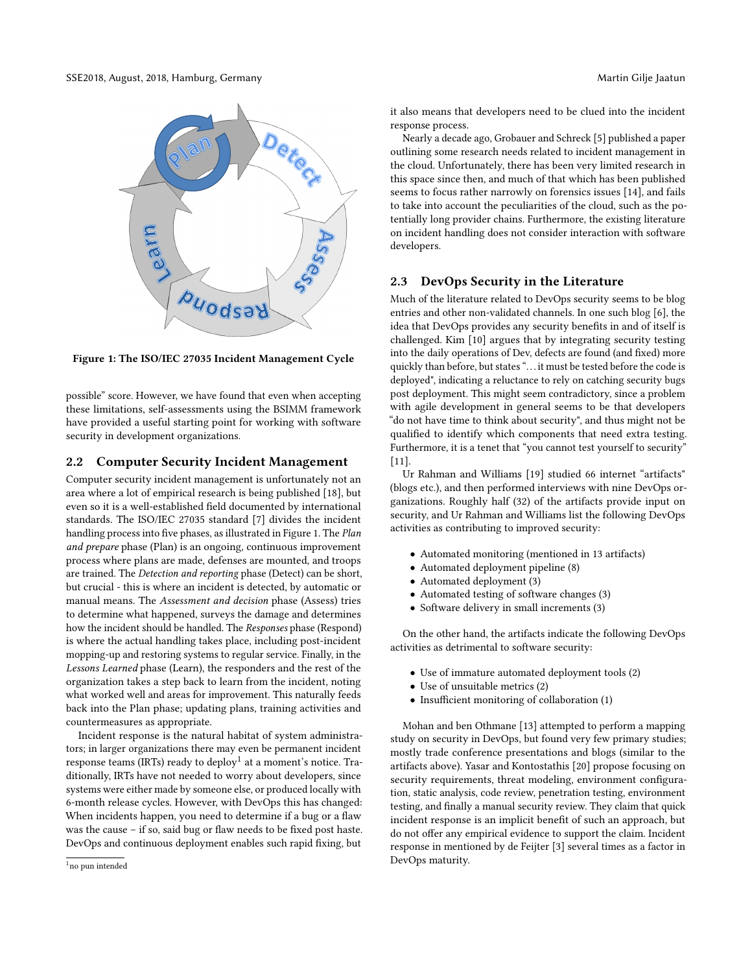<span id="page-1-0"></span>

Figure 1: The ISO/IEC 27035 Incident Management Cycle

possible" score. However, we have found that even when accepting these limitations, self-assessments using the BSIMM framework have provided a useful starting point for working with software security in development organizations.

#### 2.2 Computer Security Incident Management

Computer security incident management is unfortunately not an area where a lot of empirical research is being published [\[18\]](#page-5-4), but even so it is a well-established field documented by international standards. The ISO/IEC 27035 standard [\[7\]](#page-5-5) divides the incident handling process into five phases, as illustrated in Figure [1.](#page-1-0) The Plan and prepare phase (Plan) is an ongoing, continuous improvement process where plans are made, defenses are mounted, and troops are trained. The Detection and reporting phase (Detect) can be short, but crucial - this is where an incident is detected, by automatic or manual means. The Assessment and decision phase (Assess) tries to determine what happened, surveys the damage and determines how the incident should be handled. The Responses phase (Respond) is where the actual handling takes place, including post-incident mopping-up and restoring systems to regular service. Finally, in the Lessons Learned phase (Learn), the responders and the rest of the organization takes a step back to learn from the incident, noting what worked well and areas for improvement. This naturally feeds back into the Plan phase; updating plans, training activities and countermeasures as appropriate.

Incident response is the natural habitat of system administrators; in larger organizations there may even be permanent incident response teams (IRTs) ready to deploy<sup>[1](#page-1-1)</sup> at a moment's notice. Traditionally, IRTs have not needed to worry about developers, since systems were either made by someone else, or produced locally with 6-month release cycles. However, with DevOps this has changed: When incidents happen, you need to determine if a bug or a flaw was the cause – if so, said bug or flaw needs to be fixed post haste. DevOps and continuous deployment enables such rapid fixing, but it also means that developers need to be clued into the incident response process.

Nearly a decade ago, Grobauer and Schreck [\[5\]](#page-5-6) published a paper outlining some research needs related to incident management in the cloud. Unfortunately, there has been very limited research in this space since then, and much of that which has been published seems to focus rather narrowly on forensics issues [\[14\]](#page-5-7), and fails to take into account the peculiarities of the cloud, such as the potentially long provider chains. Furthermore, the existing literature on incident handling does not consider interaction with software developers.

#### 2.3 DevOps Security in the Literature

Much of the literature related to DevOps security seems to be blog entries and other non-validated channels. In one such blog [\[6\]](#page-5-8), the idea that DevOps provides any security benefits in and of itself is challenged. Kim [\[10\]](#page-5-9) argues that by integrating security testing into the daily operations of Dev, defects are found (and fixed) more quickly than before, but states ". . .it must be tested before the code is deployed", indicating a reluctance to rely on catching security bugs post deployment. This might seem contradictory, since a problem with agile development in general seems to be that developers "do not have time to think about security", and thus might not be qualified to identify which components that need extra testing. Furthermore, it is a tenet that "you cannot test yourself to security" [\[11\]](#page-5-10).

Ur Rahman and Williams [\[19\]](#page-5-11) studied 66 internet "artifacts" (blogs etc.), and then performed interviews with nine DevOps organizations. Roughly half (32) of the artifacts provide input on security, and Ur Rahman and Williams list the following DevOps activities as contributing to improved security:

- Automated monitoring (mentioned in 13 artifacts)
- Automated deployment pipeline (8)
- Automated deployment (3)
- Automated testing of software changes (3)
- Software delivery in small increments (3)

On the other hand, the artifacts indicate the following DevOps activities as detrimental to software security:

- Use of immature automated deployment tools (2)
- Use of unsuitable metrics (2)
- Insufficient monitoring of collaboration (1)

Mohan and ben Othmane [\[13\]](#page-5-12) attempted to perform a mapping study on security in DevOps, but found very few primary studies; mostly trade conference presentations and blogs (similar to the artifacts above). Yasar and Kontostathis [\[20\]](#page-5-13) propose focusing on security requirements, threat modeling, environment configuration, static analysis, code review, penetration testing, environment testing, and finally a manual security review. They claim that quick incident response is an implicit benefit of such an approach, but do not offer any empirical evidence to support the claim. Incident response in mentioned by de Feijter [\[3\]](#page-5-14) several times as a factor in DevOps maturity.

<span id="page-1-1"></span><sup>&</sup>lt;sup>1</sup>no pun intended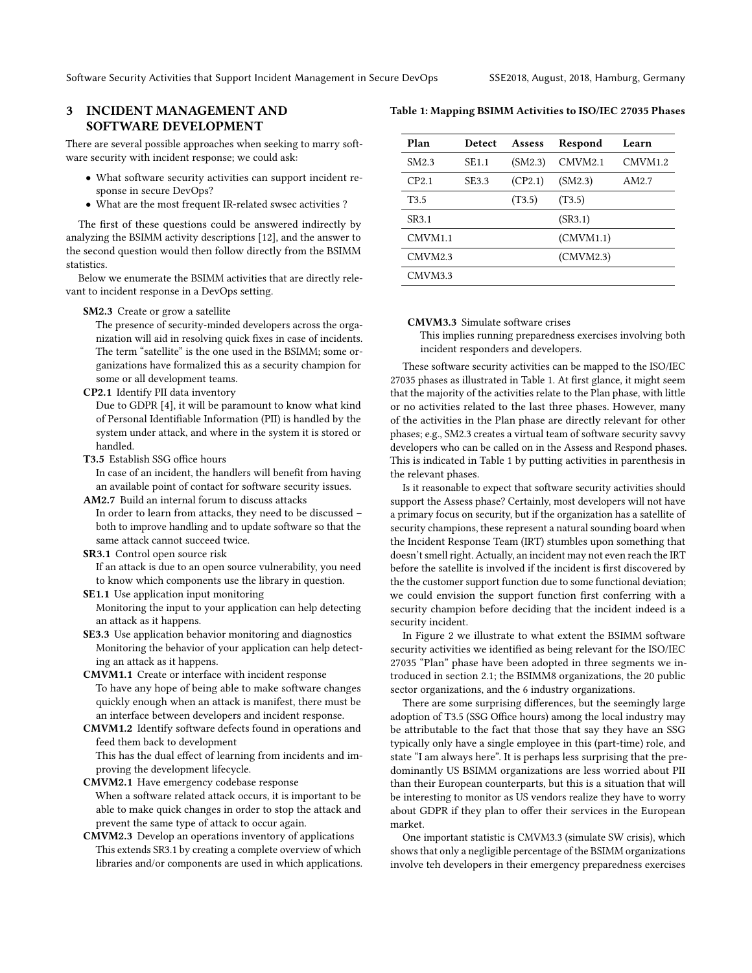## <span id="page-2-0"></span>3 INCIDENT MANAGEMENT AND SOFTWARE DEVELOPMENT

There are several possible approaches when seeking to marry software security with incident response; we could ask:

- What software security activities can support incident response in secure DevOps?
- What are the most frequent IR-related swsec activities ?

The first of these questions could be answered indirectly by analyzing the BSIMM activity descriptions [\[12\]](#page-5-1), and the answer to the second question would then follow directly from the BSIMM statistics.

Below we enumerate the BSIMM activities that are directly relevant to incident response in a DevOps setting.

SM2.3 Create or grow a satellite

The presence of security-minded developers across the organization will aid in resolving quick fixes in case of incidents. The term "satellite" is the one used in the BSIMM; some organizations have formalized this as a security champion for some or all development teams.

CP2.1 Identify PII data inventory

Due to GDPR [\[4\]](#page-5-15), it will be paramount to know what kind of Personal Identifiable Information (PII) is handled by the system under attack, and where in the system it is stored or handled.

T3.5 Establish SSG office hours

In case of an incident, the handlers will benefit from having an available point of contact for software security issues.

AM2.7 Build an internal forum to discuss attacks

In order to learn from attacks, they need to be discussed – both to improve handling and to update software so that the same attack cannot succeed twice.

- SR3.1 Control open source risk If an attack is due to an open source vulnerability, you need to know which components use the library in question.
- SE1.1 Use application input monitoring Monitoring the input to your application can help detecting an attack as it happens.
- SE3.3 Use application behavior monitoring and diagnostics Monitoring the behavior of your application can help detecting an attack as it happens.
- CMVM1.1 Create or interface with incident response To have any hope of being able to make software changes quickly enough when an attack is manifest, there must be an interface between developers and incident response.
- CMVM1.2 Identify software defects found in operations and feed them back to development This has the dual effect of learning from incidents and im-

proving the development lifecycle. CMVM2.1 Have emergency codebase response

- When a software related attack occurs, it is important to be able to make quick changes in order to stop the attack and prevent the same type of attack to occur again.
- CMVM2.3 Develop an operations inventory of applications This extends SR3.1 by creating a complete overview of which libraries and/or components are used in which applications.

<span id="page-2-1"></span>Table 1: Mapping BSIMM Activities to ISO/IEC 27035 Phases

| Plan              | <b>Defect</b> | Assess  | Respond             | Learn   |
|-------------------|---------------|---------|---------------------|---------|
| SM <sub>2.3</sub> | <b>SE1.1</b>  | (SM2.3) | CMVM <sub>2.1</sub> | CMVM1.2 |
| CP2.1             | SE3.3         | (CP2.1) | (SM2.3)             | AM2.7   |
| T <sub>3.5</sub>  |               | (T3.5)  | (T3.5)              |         |
| SR3.1             |               |         | (SR3.1)             |         |
| CMVM1.1           |               |         | (CMVM1.1)           |         |
| CMVM2.3           |               |         | (CMVM2.3)           |         |
| CMVM3.3           |               |         |                     |         |

CMVM3.3 Simulate software crises

This implies running preparedness exercises involving both incident responders and developers.

These software security activities can be mapped to the ISO/IEC 27035 phases as illustrated in Table [1.](#page-2-1) At first glance, it might seem that the majority of the activities relate to the Plan phase, with little or no activities related to the last three phases. However, many of the activities in the Plan phase are directly relevant for other phases; e.g., SM2.3 creates a virtual team of software security savvy developers who can be called on in the Assess and Respond phases. This is indicated in Table [1](#page-2-1) by putting activities in parenthesis in the relevant phases.

Is it reasonable to expect that software security activities should support the Assess phase? Certainly, most developers will not have a primary focus on security, but if the organization has a satellite of security champions, these represent a natural sounding board when the Incident Response Team (IRT) stumbles upon something that doesn't smell right. Actually, an incident may not even reach the IRT before the satellite is involved if the incident is first discovered by the the customer support function due to some functional deviation; we could envision the support function first conferring with a security champion before deciding that the incident indeed is a security incident.

In Figure [2](#page-3-1) we illustrate to what extent the BSIMM software security activities we identified as being relevant for the ISO/IEC 27035 "Plan" phase have been adopted in three segments we introduced in section [2.1;](#page-0-1) the BSIMM8 organizations, the 20 public sector organizations, and the 6 industry organizations.

There are some surprising differences, but the seemingly large adoption of T3.5 (SSG Office hours) among the local industry may be attributable to the fact that those that say they have an SSG typically only have a single employee in this (part-time) role, and state "I am always here". It is perhaps less surprising that the predominantly US BSIMM organizations are less worried about PII than their European counterparts, but this is a situation that will be interesting to monitor as US vendors realize they have to worry about GDPR if they plan to offer their services in the European market.

One important statistic is CMVM3.3 (simulate SW crisis), which shows that only a negligible percentage of the BSIMM organizations involve teh developers in their emergency preparedness exercises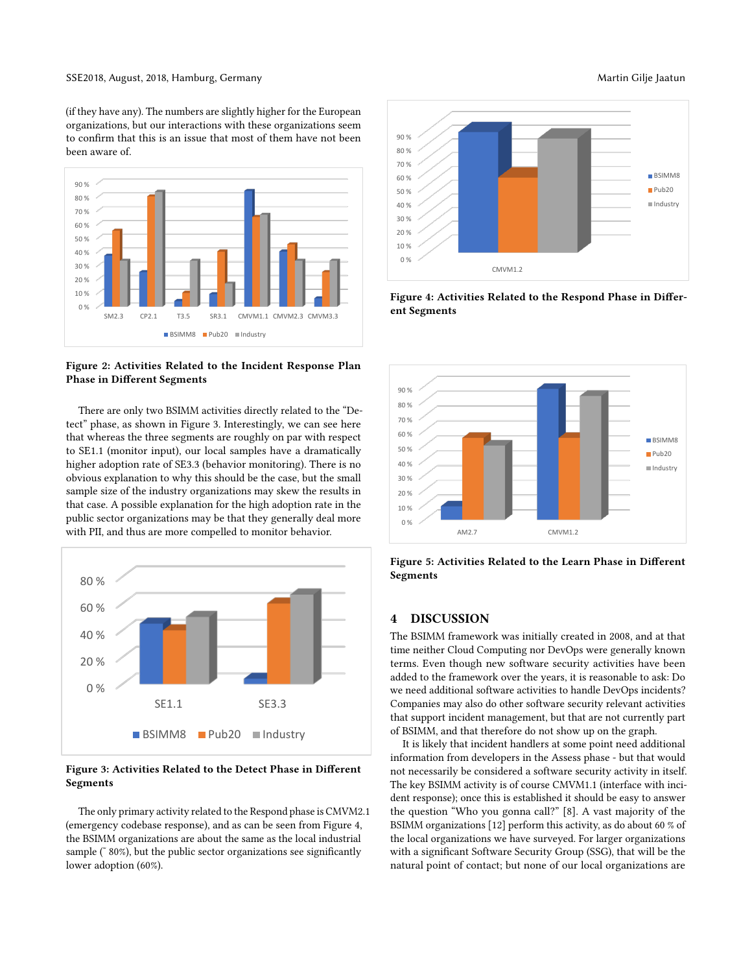SSE2018, August, 2018, Hamburg, Germany Martin Gilje Jaatun Martin Gilje Jaatun Martin Gilje Jaatun Martin Gilje Jaatun Martin Gilje Jaatun Martin Gilje Jaatun Martin Gilje Jaatun Martin Gilje Jaatun Martin Gilje Jaatun Ma

(if they have any). The numbers are slightly higher for the European organizations, but our interactions with these organizations seem to confirm that this is an issue that most of them have not been been aware of.

<span id="page-3-1"></span>

Figure 2: Activities Related to the Incident Response Plan Phase in Different Segments

There are only two BSIMM activities directly related to the "Detect" phase, as shown in Figure [3.](#page-3-2) Interestingly, we can see here that whereas the three segments are roughly on par with respect to SE1.1 (monitor input), our local samples have a dramatically higher adoption rate of SE3.3 (behavior monitoring). There is no obvious explanation to why this should be the case, but the small sample size of the industry organizations may skew the results in that case. A possible explanation for the high adoption rate in the public sector organizations may be that they generally deal more with PII, and thus are more compelled to monitor behavior.

<span id="page-3-2"></span>

#### Figure 3: Activities Related to the Detect Phase in Different Segments

The only primary activity related to the Respond phase is CMVM2.1 (emergency codebase response), and as can be seen from Figure [4,](#page-3-3) the BSIMM organizations are about the same as the local industrial sample  $($   $^{\circ}$  80%), but the public sector organizations see significantly lower adoption (60%).

<span id="page-3-3"></span>

Figure 4: Activities Related to the Respond Phase in Different Segments



Figure 5: Activities Related to the Learn Phase in Different Segments

### <span id="page-3-0"></span>4 DISCUSSION

The BSIMM framework was initially created in 2008, and at that time neither Cloud Computing nor DevOps were generally known terms. Even though new software security activities have been added to the framework over the years, it is reasonable to ask: Do we need additional software activities to handle DevOps incidents? Companies may also do other software security relevant activities that support incident management, but that are not currently part of BSIMM, and that therefore do not show up on the graph.

It is likely that incident handlers at some point need additional information from developers in the Assess phase - but that would not necessarily be considered a software security activity in itself. The key BSIMM activity is of course CMVM1.1 (interface with incident response); once this is established it should be easy to answer the question "Who you gonna call?" [\[8\]](#page-5-16). A vast majority of the BSIMM organizations [\[12\]](#page-5-1) perform this activity, as do about 60 % of the local organizations we have surveyed. For larger organizations with a significant Software Security Group (SSG), that will be the natural point of contact; but none of our local organizations are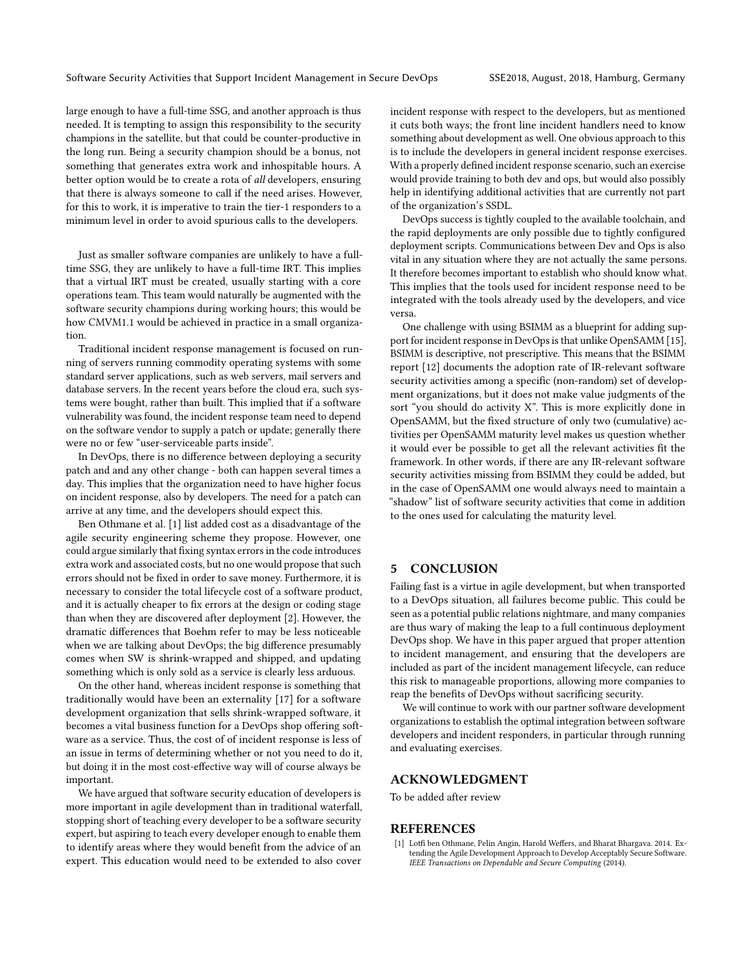large enough to have a full-time SSG, and another approach is thus needed. It is tempting to assign this responsibility to the security champions in the satellite, but that could be counter-productive in the long run. Being a security champion should be a bonus, not something that generates extra work and inhospitable hours. A better option would be to create a rota of all developers, ensuring that there is always someone to call if the need arises. However, for this to work, it is imperative to train the tier-1 responders to a minimum level in order to avoid spurious calls to the developers.

Just as smaller software companies are unlikely to have a fulltime SSG, they are unlikely to have a full-time IRT. This implies that a virtual IRT must be created, usually starting with a core operations team. This team would naturally be augmented with the software security champions during working hours; this would be how CMVM1.1 would be achieved in practice in a small organization.

Traditional incident response management is focused on running of servers running commodity operating systems with some standard server applications, such as web servers, mail servers and database servers. In the recent years before the cloud era, such systems were bought, rather than built. This implied that if a software vulnerability was found, the incident response team need to depend on the software vendor to supply a patch or update; generally there were no or few "user-serviceable parts inside".

In DevOps, there is no difference between deploying a security patch and and any other change - both can happen several times a day. This implies that the organization need to have higher focus on incident response, also by developers. The need for a patch can arrive at any time, and the developers should expect this.

Ben Othmane et al. [\[1\]](#page-4-1) list added cost as a disadvantage of the agile security engineering scheme they propose. However, one could argue similarly that fixing syntax errors in the code introduces extra work and associated costs, but no one would propose that such errors should not be fixed in order to save money. Furthermore, it is necessary to consider the total lifecycle cost of a software product, and it is actually cheaper to fix errors at the design or coding stage than when they are discovered after deployment [\[2\]](#page-5-17). However, the dramatic differences that Boehm refer to may be less noticeable when we are talking about DevOps; the big difference presumably comes when SW is shrink-wrapped and shipped, and updating something which is only sold as a service is clearly less arduous.

On the other hand, whereas incident response is something that traditionally would have been an externality [\[17\]](#page-5-18) for a software development organization that sells shrink-wrapped software, it becomes a vital business function for a DevOps shop offering software as a service. Thus, the cost of of incident response is less of an issue in terms of determining whether or not you need to do it, but doing it in the most cost-effective way will of course always be important.

We have argued that software security education of developers is more important in agile development than in traditional waterfall, stopping short of teaching every developer to be a software security expert, but aspiring to teach every developer enough to enable them to identify areas where they would benefit from the advice of an expert. This education would need to be extended to also cover

incident response with respect to the developers, but as mentioned it cuts both ways; the front line incident handlers need to know something about development as well. One obvious approach to this is to include the developers in general incident response exercises. With a properly defined incident response scenario, such an exercise would provide training to both dev and ops, but would also possibly help in identifying additional activities that are currently not part of the organization's SSDL.

DevOps success is tightly coupled to the available toolchain, and the rapid deployments are only possible due to tightly configured deployment scripts. Communications between Dev and Ops is also vital in any situation where they are not actually the same persons. It therefore becomes important to establish who should know what. This implies that the tools used for incident response need to be integrated with the tools already used by the developers, and vice versa.

One challenge with using BSIMM as a blueprint for adding support for incident response in DevOps is that unlike OpenSAMM [\[15\]](#page-5-19), BSIMM is descriptive, not prescriptive. This means that the BSIMM report [\[12\]](#page-5-1) documents the adoption rate of IR-relevant software security activities among a specific (non-random) set of development organizations, but it does not make value judgments of the sort "you should do activity X". This is more explicitly done in OpenSAMM, but the fixed structure of only two (cumulative) activities per OpenSAMM maturity level makes us question whether it would ever be possible to get all the relevant activities fit the framework. In other words, if there are any IR-relevant software security activities missing from BSIMM they could be added, but in the case of OpenSAMM one would always need to maintain a "shadow" list of software security activities that come in addition to the ones used for calculating the maturity level.

### <span id="page-4-0"></span>5 CONCLUSION

Failing fast is a virtue in agile development, but when transported to a DevOps situation, all failures become public. This could be seen as a potential public relations nightmare, and many companies are thus wary of making the leap to a full continuous deployment DevOps shop. We have in this paper argued that proper attention to incident management, and ensuring that the developers are included as part of the incident management lifecycle, can reduce this risk to manageable proportions, allowing more companies to reap the benefits of DevOps without sacrificing security.

We will continue to work with our partner software development organizations to establish the optimal integration between software developers and incident responders, in particular through running and evaluating exercises.

#### ACKNOWLEDGMENT

To be added after review

#### REFERENCES

<span id="page-4-1"></span>[1] Lotfi ben Othmane, Pelin Angin, Harold Weffers, and Bharat Bhargava. 2014. Extending the Agile Development Approach to Develop Acceptably Secure Software. IEEE Transactions on Dependable and Secure Computing (2014).